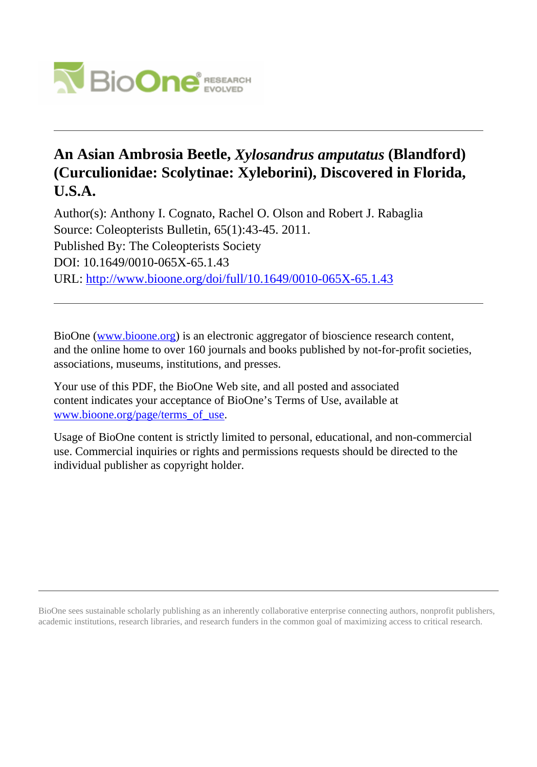

# **An Asian Ambrosia Beetle,** *Xylosandrus amputatus* **(Blandford) (Curculionidae: Scolytinae: Xyleborini), Discovered in Florida, U.S.A.**

Author(s): Anthony I. Cognato, Rachel O. Olson and Robert J. Rabaglia Source: Coleopterists Bulletin, 65(1):43-45. 2011. Published By: The Coleopterists Society DOI: 10.1649/0010-065X-65.1.43 URL: <http://www.bioone.org/doi/full/10.1649/0010-065X-65.1.43>

BioOne [\(www.bioone.org\)](http://www.bioone.org) is an electronic aggregator of bioscience research content, and the online home to over 160 journals and books published by not-for-profit societies, associations, museums, institutions, and presses.

Your use of this PDF, the BioOne Web site, and all posted and associated content indicates your acceptance of BioOne's Terms of Use, available at [www.bioone.org/page/terms\\_of\\_use](http://www.bioone.org/page/terms_of_use).

Usage of BioOne content is strictly limited to personal, educational, and non-commercial use. Commercial inquiries or rights and permissions requests should be directed to the individual publisher as copyright holder.

BioOne sees sustainable scholarly publishing as an inherently collaborative enterprise connecting authors, nonprofit publishers, academic institutions, research libraries, and research funders in the common goal of maximizing access to critical research.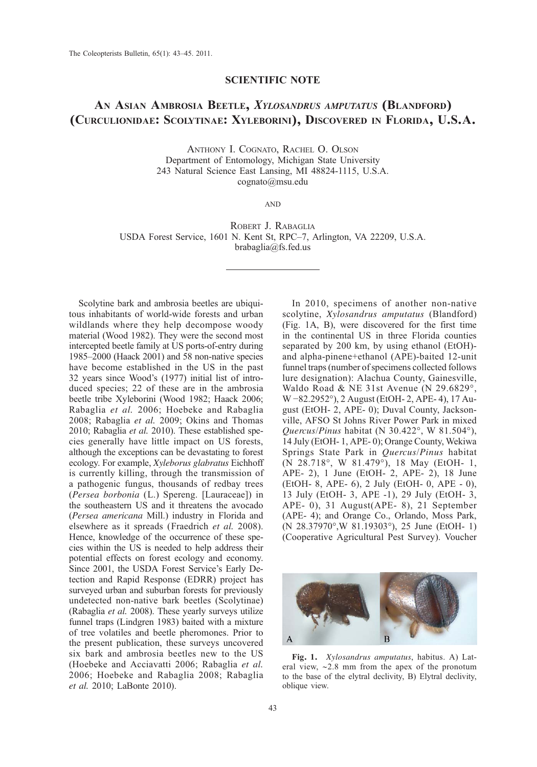## SCIENTIFIC NOTE

# AN ASIAN AMBROSIA BEETLE, XYLOSANDRUS AMPUTATUS (BLANDFORD) (CURCULIONIDAE: SCOLYTINAE: XYLEBORINI), DISCOVERED IN FLORIDA, U.S.A.

ANTHONY I. COGNATO, RACHEL O. OLSON Department of Entomology, Michigan State University 243 Natural Science East Lansing, MI 48824-1115, U.S.A. cognato@msu.edu

AND

ROBERT J. RABAGLIA USDA Forest Service, 1601 N. Kent St, RPC–7, Arlington, VA 22209, U.S.A. brabaglia@fs.fed.us

Scolytine bark and ambrosia beetles are ubiquitous inhabitants of world-wide forests and urban wildlands where they help decompose woody material (Wood 1982). They were the second most intercepted beetle family at US ports-of-entry during 1985–2000 (Haack 2001) and 58 non-native species have become established in the US in the past 32 years since Wood's (1977) initial list of introduced species; 22 of these are in the ambrosia beetle tribe Xyleborini (Wood 1982; Haack 2006; Rabaglia et al. 2006; Hoebeke and Rabaglia 2008; Rabaglia et al. 2009; Okins and Thomas 2010; Rabaglia et al. 2010). These established species generally have little impact on US forests, although the exceptions can be devastating to forest ecology. For example, Xyleborus glabratus Eichhoff is currently killing, through the transmission of a pathogenic fungus, thousands of redbay trees (Persea borbonia (L.) Spereng. [Lauraceae]) in the southeastern US and it threatens the avocado (Persea americana Mill.) industry in Florida and elsewhere as it spreads (Fraedrich et al. 2008). Hence, knowledge of the occurrence of these species within the US is needed to help address their potential effects on forest ecology and economy. Since 2001, the USDA Forest Service's Early Detection and Rapid Response (EDRR) project has surveyed urban and suburban forests for previously undetected non-native bark beetles (Scolytinae) (Rabaglia et al. 2008). These yearly surveys utilize funnel traps (Lindgren 1983) baited with a mixture of tree volatiles and beetle pheromones. Prior to the present publication, these surveys uncovered six bark and ambrosia beetles new to the US (Hoebeke and Acciavatti 2006; Rabaglia et al. 2006; Hoebeke and Rabaglia 2008; Rabaglia et al. 2010; LaBonte 2010).

In 2010, specimens of another non-native scolytine, Xylosandrus amputatus (Blandford) (Fig. 1A, B), were discovered for the first time in the continental US in three Florida counties separated by 200 km, by using ethanol (EtOH) and alpha-pinene+ethanol (APE)-baited 12-unit funnel traps (number of specimens collected follows lure designation): Alachua County, Gainesville, Waldo Road & NE 31st Avenue (N 29.6829°, W −82.2952°), 2 August (EtOH- 2, APE- 4), 17 August (EtOH- 2, APE- 0); Duval County, Jacksonville, AFSO St Johns River Power Park in mixed Quercus/Pinus habitat (N 30.422°, W 81.504°), 14 July (EtOH- 1, APE- 0); Orange County, Wekiwa Springs State Park in Quercus/Pinus habitat (N 28.718°, W 81.479°), 18 May (EtOH- 1, APE- 2), 1 June (EtOH- 2, APE- 2), 18 June (EtOH- 8, APE- 6), 2 July (EtOH- 0, APE - 0), 13 July (EtOH- 3, APE -1), 29 July (EtOH- 3, APE- 0), 31 August(APE- 8), 21 September (APE- 4); and Orange Co., Orlando, Moss Park, (N 28.37970°,W 81.19303°), 25 June (EtOH- 1) (Cooperative Agricultural Pest Survey). Voucher



Fig. 1. Xylosandrus amputatus, habitus. A) Lateral view, ∼2.8 mm from the apex of the pronotum to the base of the elytral declivity, B) Elytral declivity, oblique view.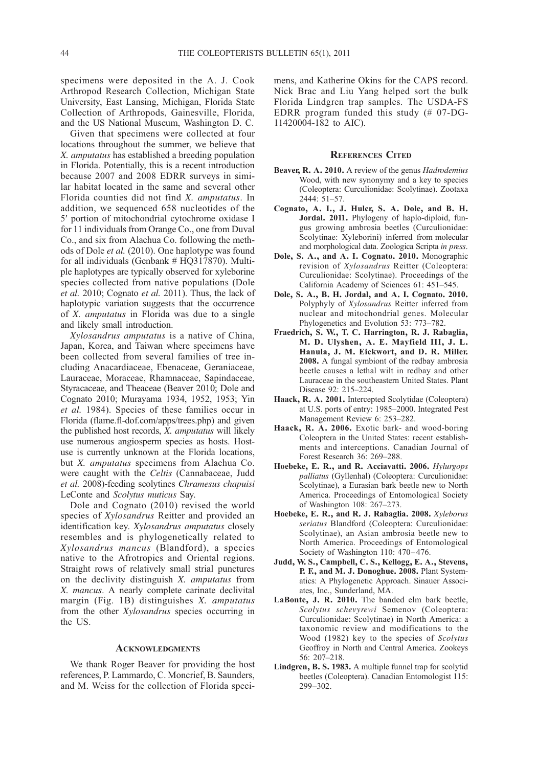specimens were deposited in the A. J. Cook Arthropod Research Collection, Michigan State University, East Lansing, Michigan, Florida State Collection of Arthropods, Gainesville, Florida, and the US National Museum, Washington D. C.

Given that specimens were collected at four locations throughout the summer, we believe that X. amputatus has established a breeding population in Florida. Potentially, this is a recent introduction because 2007 and 2008 EDRR surveys in similar habitat located in the same and several other Florida counties did not find X. amputatus. In addition, we sequenced 658 nucleotides of the 5′ portion of mitochondrial cytochrome oxidase I for 11 individuals from Orange Co., one from Duval Co., and six from Alachua Co. following the methods of Dole et al. (2010). One haplotype was found for all individuals (Genbank # HQ317870). Multiple haplotypes are typically observed for xyleborine species collected from native populations (Dole et al. 2010; Cognato et al. 2011). Thus, the lack of haplotypic variation suggests that the occurrence of X. amputatus in Florida was due to a single and likely small introduction.

Xylosandrus amputatus is a native of China, Japan, Korea, and Taiwan where specimens have been collected from several families of tree including Anacardiaceae, Ebenaceae, Geraniaceae, Lauraceae, Moraceae, Rhamnaceae, Sapindaceae, Styracaceae, and Theaceae (Beaver 2010; Dole and Cognato 2010; Murayama 1934, 1952, 1953; Yin et al. 1984). Species of these families occur in Florida (flame.fl-dof.com/apps/trees.php) and given the published host records, X. amputatus will likely use numerous angiosperm species as hosts. Hostuse is currently unknown at the Florida locations, but *X. amputatus* specimens from Alachua Co. were caught with the Celtis (Cannabaceae, Judd et al. 2008)-feeding scolytines Chramesus chapuisi LeConte and Scolytus muticus Say.

Dole and Cognato (2010) revised the world species of Xylosandrus Reitter and provided an identification key. Xylosandrus amputatus closely resembles and is phylogenetically related to Xylosandrus mancus (Blandford), a species native to the Afrotropics and Oriental regions. Straight rows of relatively small strial punctures on the declivity distinguish X. amputatus from X. mancus. A nearly complete carinate declivital margin (Fig. 1B) distinguishes X. amputatus from the other Xylosandrus species occurring in the US.

#### **ACKNOWLEDGMENTS**

We thank Roger Beaver for providing the host references, P. Lammardo, C. Moncrief, B. Saunders, and M. Weiss for the collection of Florida specimens, and Katherine Okins for the CAPS record. Nick Brac and Liu Yang helped sort the bulk Florida Lindgren trap samples. The USDA-FS EDRR program funded this study (# 07-DG-11420004-182 to AIC).

## REFERENCES CITED

- Beaver, R. A. 2010. A review of the genus Hadrodemius Wood, with new synonymy and a key to species (Coleoptera: Curculionidae: Scolytinae). Zootaxa 2444: 51–57.
- Cognato, A. I., J. Hulcr, S. A. Dole, and B. H. Jordal. 2011. Phylogeny of haplo-diploid, fungus growing ambrosia beetles (Curculionidae: Scolytinae: Xyleborini) inferred from molecular and morphological data. Zoologica Scripta in press.
- Dole, S. A., and A. I. Cognato. 2010. Monographic revision of Xylosandrus Reitter (Coleoptera: Curculionidae: Scolytinae). Proceedings of the California Academy of Sciences 61: 451–545.
- Dole, S. A., B. H. Jordal, and A. I. Cognato. 2010. Polyphyly of Xylosandrus Reitter inferred from nuclear and mitochondrial genes. Molecular Phylogenetics and Evolution 53: 773–782.
- Fraedrich, S. W., T. C. Harrington, R. J. Rabaglia, M. D. Ulyshen, A. E. Mayfield III, J. L. Hanula, J. M. Eickwort, and D. R. Miller. 2008. A fungal symbiont of the redbay ambrosia beetle causes a lethal wilt in redbay and other Lauraceae in the southeastern United States. Plant Disease 92: 215–224.
- Haack, R. A. 2001. Intercepted Scolytidae (Coleoptera) at U.S. ports of entry: 1985–2000. Integrated Pest Management Review 6: 253–282.
- Haack, R. A. 2006. Exotic bark- and wood-boring Coleoptera in the United States: recent establishments and interceptions. Canadian Journal of Forest Research 36: 269–288.
- Hoebeke, E. R., and R. Acciavatti. 2006. Hylurgops palliatus (Gyllenhal) (Coleoptera: Curculionidae: Scolytinae), a Eurasian bark beetle new to North America. Proceedings of Entomological Society of Washington 108: 267–273.
- Hoebeke, E. R., and R. J. Rabaglia. 2008. Xyleborus seriatus Blandford (Coleoptera: Curculionidae: Scolytinae), an Asian ambrosia beetle new to North America. Proceedings of Entomological Society of Washington 110: 470–476.
- Judd, W. S., Campbell, C. S., Kellogg, E. A., Stevens, P. F., and M. J. Donoghue. 2008. Plant Systematics: A Phylogenetic Approach. Sinauer Associates, Inc., Sunderland, MA.
- LaBonte, J. R. 2010. The banded elm bark beetle, Scolytus schevyrewi Semenov (Coleoptera: Curculionidae: Scolytinae) in North America: a taxonomic review and modifications to the Wood (1982) key to the species of Scolytus Geoffroy in North and Central America. Zookeys 56: 207–218.
- Lindgren, B. S. 1983. A multiple funnel trap for scolytid beetles (Coleoptera). Canadian Entomologist 115: 299–302.